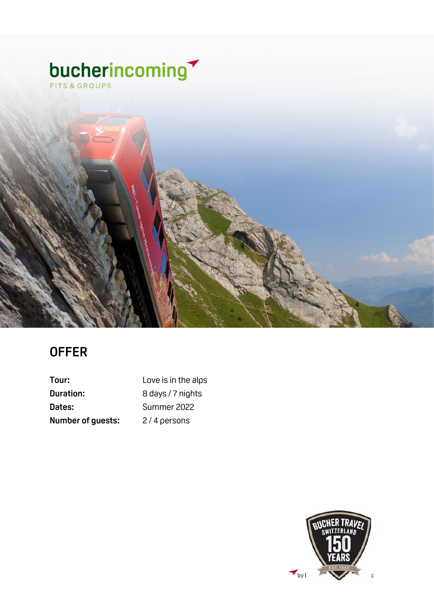

### **OFFER**

| Tour:                    | Love is in the alps |
|--------------------------|---------------------|
| Duration:                | 8 days / 7 nights   |
| Dates:                   | Summer 2022         |
| <b>Number of guests:</b> | 2/4 persons         |

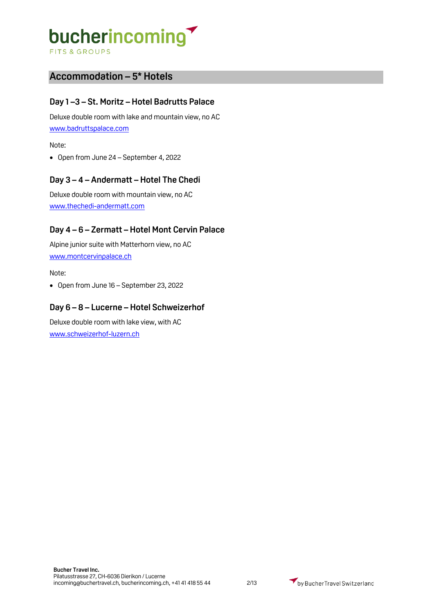**FITS & GROUPS** 

### **Accommodation – 5\* Hotels**

### **Day 1 –3 – St. Moritz – Hotel Badrutts Palace**

Deluxe double room with lake and mountain view, no AC [www.badruttspalace.com](http://www.badruttspalace.com/)

Note:

• Open from June 24 – September 4, 2022

### **Day 3 – 4 – Andermatt – Hotel The Chedi**

Deluxe double room with mountain view, no AC [www.thechedi-andermatt.com](http://www.thechedi-andermatt.com/)

### **Day 4 – 6 – Zermatt – Hotel Mont Cervin Palace**

Alpine junior suite with Matterhorn view, no AC [www.montcervinpalace.ch](http://www.montcervinpalace.ch/)

Note:

• Open from June 16 – September 23, 2022

### **Day 6 – 8 – Lucerne – Hotel Schweizerhof**

Deluxe double room with lake view, with AC [www.schweizerhof-luzern.ch](http://www.schweizerhof-luzern.ch/)

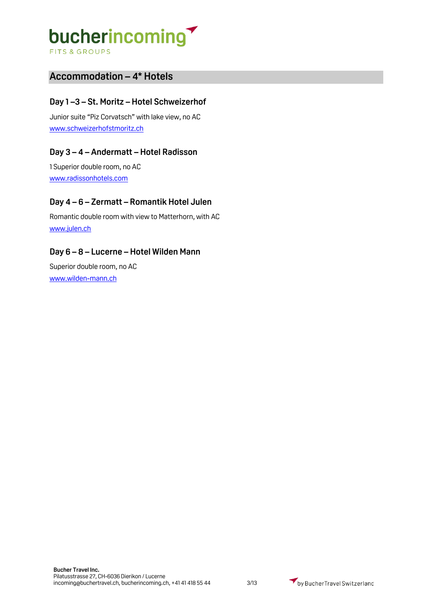**FITS & GROUPS** 

### **Accommodation – 4\* Hotels**

### **Day 1 –3 – St. Moritz – Hotel Schweizerhof**

Junior suite "Piz Corvatsch" with lake view, no AC [www.schweizerhofstmoritz.ch](http://www.schweizerhofstmoritz.ch/)

### **Day 3 – 4 – Andermatt – Hotel Radisson**

1 Superior double room, no AC [www.radissonhotels.com](http://www.radissonhotels.com/)

### **Day 4 – 6 – Zermatt – Romantik Hotel Julen**

Romantic double room with view to Matterhorn, with AC [www.julen.ch](http://www.julen.ch/)

### **Day 6 – 8 – Lucerne – Hotel Wilden Mann**

Superior double room, no AC [www.wilden-mann.ch](http://www.wilden-mann.ch/)

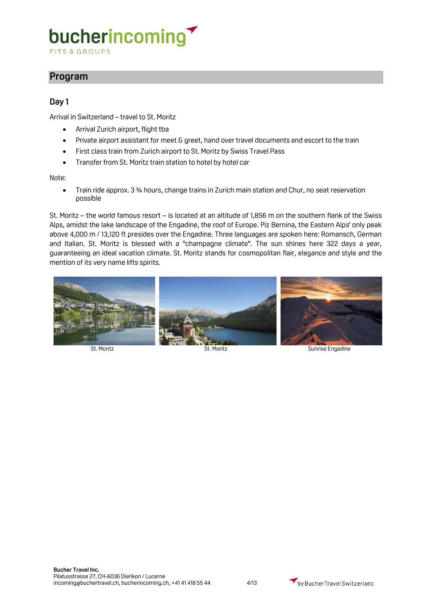**FITS & GROUPS** 

### **Program**

### **Day 1**

Arrival in Switzerland – travel to St. Moritz

- Arrival Zurich airport, flight tba
- Private airport assistant for meet & greet, hand over travel documents and escort to the train
- First class train from Zurich airport to St. Moritz by Swiss Travel Pass
- Transfer from St. Moritz train station to hotel by hotel car

Note:

• Train ride approx. 3 ¾ hours, change trains in Zurich main station and Chur, no seat reservation possible

St. Moritz – the world famous resort – is located at an altitude of 1,856 m on the southern flank of the Swiss Alps, amidst the lake landscape of the Engadine, the roof of Europe. Piz Bernina, the Eastern Alps' only peak above 4,000 m / 13,120 ft presides over the Engadine. Three languages are spoken here: Romansch, German and Italian. St. Moritz is blessed with a "champagne climate". The sun shines here 322 days a year, guaranteeing an ideal vacation climate. St. Moritz stands for cosmopolitan flair, elegance and style and the mention of its very name lifts spirits.



St. Moritz St. Moritz St. Moritz St. Moritz Sunrise Engadine

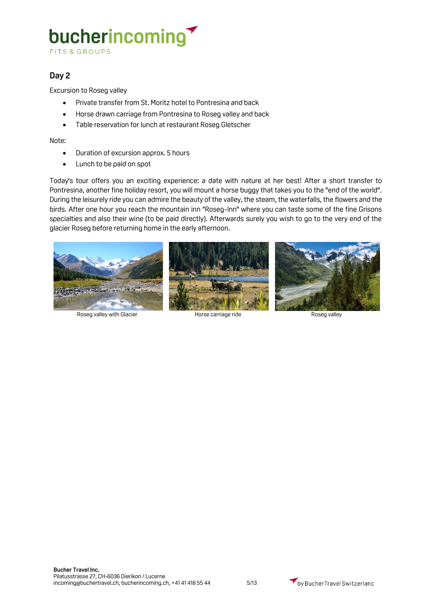**FITS & GROUPS** 

### **Day 2**

Excursion to Roseg valley

- Private transfer from St. Moritz hotel to Pontresina and back
- Horse drawn carriage from Pontresina to Roseg valley and back
- Table reservation for lunch at restaurant Roseg Gletscher

Note:

- Duration of excursion approx. 5 hours
- Lunch to be paid on spot

Today's tour offers you an exciting experience: a date with nature at her best! After a short transfer to Pontresina, another fine holiday resort, you will mount a horse buggy that takes you to the "end of the world". During the leisurely ride you can admire the beauty of the valley, the steam, the waterfalls, the flowers and the birds. After one hour you reach the mountain inn "Roseg-Inn" where you can taste some of the fine Grisons specialties and also their wine (to be paid directly). Afterwards surely you wish to go to the very end of the glacier Roseg before returning home in the early afternoon.



Roseg valley with Glacier **Roseg valley** Horse carriage ride Roseg valley Roseg valley





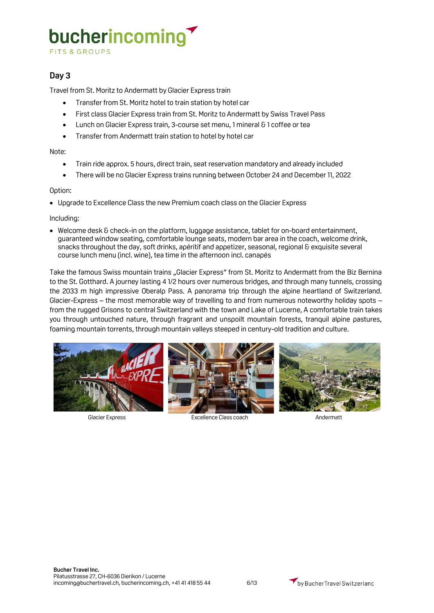**FITS & GROUPS** 

### **Day 3**

Travel from St. Moritz to Andermatt by Glacier Express train

- Transfer from St. Moritz hotel to train station by hotel car
- First class Glacier Express train from St. Moritz to Andermatt by Swiss Travel Pass
- Lunch on Glacier Express train, 3-course set menu, 1 mineral & 1 coffee or tea
- Transfer from Andermatt train station to hotel by hotel car

#### Note:

- Train ride approx. 5 hours, direct train, seat reservation mandatory and already included
- There will be no Glacier Express trains running between October 24 and December 11, 2022

#### Option:

• Upgrade to Excellence Class the new Premium coach class on the Glacier Express

#### Including:

• Welcome desk & check-in on the platform, luggage assistance, tablet for on-board entertainment, guaranteed window seating, comfortable lounge seats, modern bar area in the coach, welcome drink, snacks throughout the day, soft drinks, apéritif and appetizer, seasonal, regional & exquisite several course lunch menu (incl. wine), tea time in the afternoon incl. canapés

Take the famous Swiss mountain trains "Glacier Express" from St. Moritz to Andermatt from the Biz Bernina to the St. Gotthard. A journey lasting 4 1/2 hours over numerous bridges, and through many tunnels, crossing the 2033 m high impressive Oberalp Pass. A panorama trip through the alpine heartland of Switzerland. Glacier-Express – the most memorable way of travelling to and from numerous noteworthy holiday spots – from the rugged Grisons to central Switzerland with the town and Lake of Lucerne, A comfortable train takes you through untouched nature, through fragrant and unspoilt mountain forests, tranquil alpine pastures, foaming mountain torrents, through mountain valleys steeped in century-old tradition and culture.





Glacier Express Excellence Class coach Andermatt

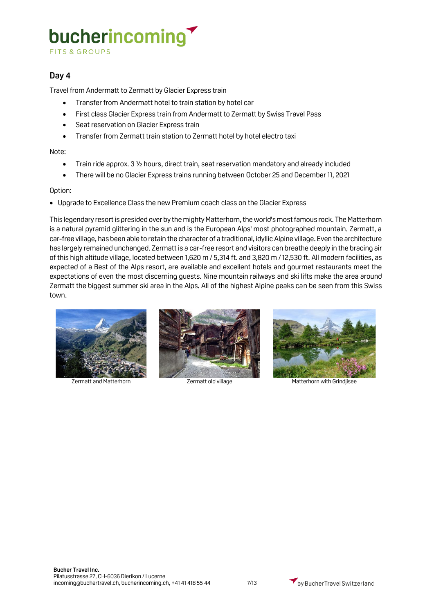**FITS & GROUPS** 

### **Day 4**

Travel from Andermatt to Zermatt by Glacier Express train

- Transfer from Andermatt hotel to train station by hotel car
- First class Glacier Express train from Andermatt to Zermatt by Swiss Travel Pass
- Seat reservation on Glacier Express train
- Transfer from Zermatt train station to Zermatt hotel by hotel electro taxi

Note:

- Train ride approx. 3 ½ hours, direct train, seat reservation mandatory and already included
- There will be no Glacier Express trains running between October 25 and December 11, 2021

#### Option:

• Upgrade to Excellence Class the new Premium coach class on the Glacier Express

This legendary resort is presided over by the mighty Matterhorn, the world's most famous rock. The Matterhorn is a natural pyramid glittering in the sun and is the European Alps' most photographed mountain. Zermatt, a car-free village, has been able to retain the character of a traditional, idyllic Alpine village. Even the architecture has largely remained unchanged. Zermatt is a car-free resort and visitors can breathe deeply in the bracing air of this high altitude village, located between 1,620 m / 5,314 ft. and 3,820 m / 12,530 ft. All modern facilities, as expected of a Best of the Alps resort, are available and excellent hotels and gourmet restaurants meet the expectations of even the most discerning guests. Nine mountain railways and ski lifts make the area around Zermatt the biggest summer ski area in the Alps. All of the highest Alpine peaks can be seen from this Swiss town.







Zermatt and Matterhorn Zermatt old village Matterhorn with Grindjisee

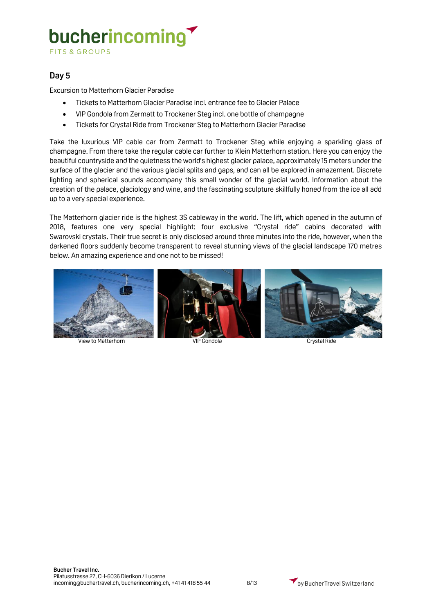### bucherincoming **FITS & GROUPS**

### **Day 5**

Excursion to Matterhorn Glacier Paradise

- Tickets to Matterhorn Glacier Paradise incl. entrance fee to Glacier Palace
- VIP Gondola from Zermatt to Trockener Steg incl. one bottle of champagne
- Tickets for Crystal Ride from Trockener Steg to Matterhorn Glacier Paradise

Take the luxurious VIP cable car from Zermatt to Trockener Steg while enjoying a sparkling glass of champagne. From there take the regular cable car further to Klein Matterhorn station. Here you can enjoy the beautiful countryside and the quietness the world's highest glacier palace, approximately 15 meters under the surface of the glacier and the various glacial splits and gaps, and can all be explored in amazement. Discrete lighting and spherical sounds accompany this small wonder of the glacial world. Information about the creation of the palace, glaciology and wine, and the fascinating sculpture skillfully honed from the ice all add up to a very special experience.

The Matterhorn glacier ride is the highest 3S cableway in the world. The lift, which opened in the autumn of 2018, features one very special highlight: four exclusive "Crystal ride" cabins decorated with Swarovski crystals. Their true secret is only disclosed around three minutes into the ride, however, when the darkened floors suddenly become transparent to reveal stunning views of the glacial landscape 170 metres below. An amazing experience and one not to be missed!



View to Matterhorn **VIP Gondola** Crystal Ride

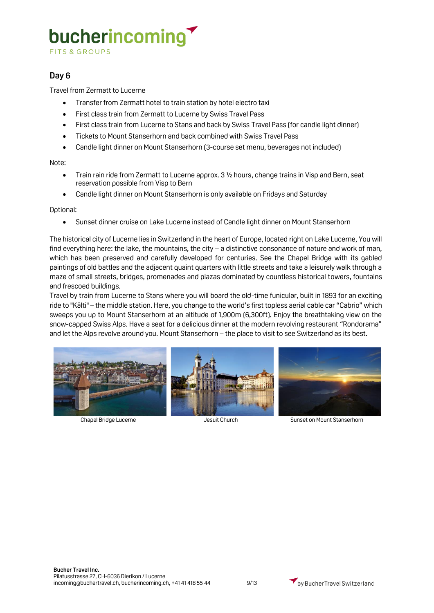**FITS & GROUPS** 

### **Day 6**

Travel from Zermatt to Lucerne

- Transfer from Zermatt hotel to train station by hotel electro taxi
- First class train from Zermatt to Lucerne by Swiss Travel Pass
- First class train from Lucerne to Stans and back by Swiss Travel Pass (for candle light dinner)
- Tickets to Mount Stanserhorn and back combined with Swiss Travel Pass
- Candle light dinner on Mount Stanserhorn (3-course set menu, beverages not included)

Note:

- Train rain ride from Zermatt to Lucerne approx. 3 1/2 hours, change trains in Visp and Bern, seat reservation possible from Visp to Bern
- Candle light dinner on Mount Stanserhorn is only available on Fridays and Saturday

Optional:

• Sunset dinner cruise on Lake Lucerne instead of Candle light dinner on Mount Stanserhorn

The historical city of Lucerne lies in Switzerland in the heart of Europe, located right on Lake Lucerne, You will find everything here: the lake, the mountains, the city – a distinctive consonance of nature and work of man, which has been preserved and carefully developed for centuries. See the Chapel Bridge with its gabled paintings of old battles and the adjacent quaint quarters with little streets and take a leisurely walk through a maze of small streets, bridges, promenades and plazas dominated by countless historical towers, fountains and frescoed buildings.

Travel by train from Lucerne to Stans where you will board the old-time funicular, built in 1893 for an exciting ride to "Kälti" – the middle station. Here, you change to the world's first topless aerial cable car "Cabrio" which sweeps you up to Mount Stanserhorn at an altitude of 1,900m (6,300ft). Enjoy the breathtaking view on the snow-capped Swiss Alps. Have a seat for a delicious dinner at the modern revolving restaurant "Rondorama" and let the Alps revolve around you. Mount Stanserhorn – the place to visit to see Switzerland as its best.







Chapel Bridge Lucerne The Jesuit Church Sunset on Mount Stanserhorn

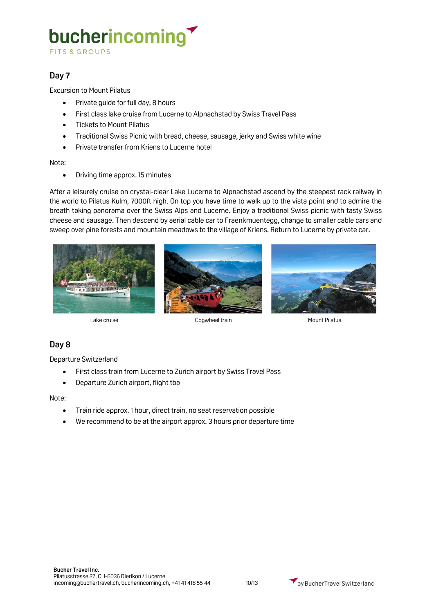FITS & GROUPS

### **Day 7**

Excursion to Mount Pilatus

- Private guide for full day, 8 hours
- First class lake cruise from Lucerne to Alpnachstad by Swiss Travel Pass
- Tickets to Mount Pilatus
- Traditional Swiss Picnic with bread, cheese, sausage, jerky and Swiss white wine
- Private transfer from Kriens to Lucerne hotel

#### Note:

• Driving time approx. 15 minutes

After a leisurely cruise on crystal-clear Lake Lucerne to Alpnachstad ascend by the steepest rack railway in the world to Pilatus Kulm, 7000ft high. On top you have time to walk up to the vista point and to admire the breath taking panorama over the Swiss Alps and Lucerne. Enjoy a traditional Swiss picnic with tasty Swiss cheese and sausage. Then descend by aerial cable car to Fraenkmuentegg, change to smaller cable cars and sweep over pine forests and mountain meadows to the village of Kriens. Return to Lucerne by private car.







Lake cruise Cogwheel train Cogwheel train Mount Pilatus

### **Day 8**

Departure Switzerland

- First class train from Lucerne to Zurich airport by Swiss Travel Pass
- Departure Zurich airport, flight tba

#### Note:

- Train ride approx. 1 hour, direct train, no seat reservation possible
- We recommend to be at the airport approx. 3 hours prior departure time

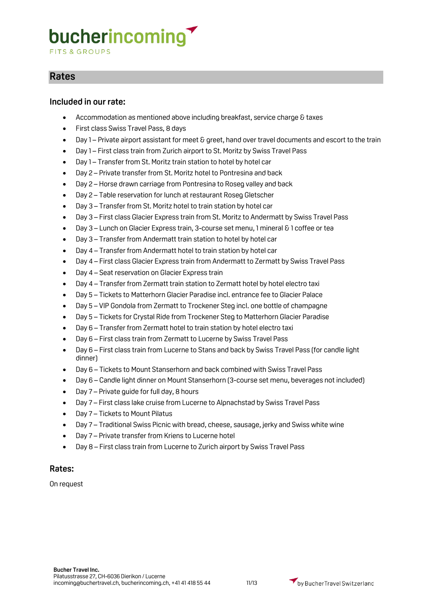**FITS & GROUPS** 

### **Rates**

### **Included in our rate:**

- Accommodation as mentioned above including breakfast, service charge & taxes
- First class Swiss Travel Pass, 8 days
- Day 1 Private airport assistant for meet & greet, hand over travel documents and escort to the train
- Day 1 First class train from Zurich airport to St. Moritz by Swiss Travel Pass
- Day 1 Transfer from St. Moritz train station to hotel by hotel car
- Day 2 Private transfer from St. Moritz hotel to Pontresina and back
- Day 2 Horse drawn carriage from Pontresina to Roseg valley and back
- Day 2 Table reservation for lunch at restaurant Roseg Gletscher
- Day 3 Transfer from St. Moritz hotel to train station by hotel car
- Day 3 First class Glacier Express train from St. Moritz to Andermatt by Swiss Travel Pass
- Day 3 Lunch on Glacier Express train, 3-course set menu, 1 mineral & 1 coffee or tea
- Day 3 Transfer from Andermatt train station to hotel by hotel car
- Day 4 Transfer from Andermatt hotel to train station by hotel car
- Day 4 First class Glacier Express train from Andermatt to Zermatt by Swiss Travel Pass
- Day 4 Seat reservation on Glacier Express train
- Day 4 Transfer from Zermatt train station to Zermatt hotel by hotel electro taxi
- Day 5 Tickets to Matterhorn Glacier Paradise incl. entrance fee to Glacier Palace
- Day 5 VIP Gondola from Zermatt to Trockener Steg incl. one bottle of champagne
- Day 5 Tickets for Crystal Ride from Trockener Steg to Matterhorn Glacier Paradise
- Day 6 Transfer from Zermatt hotel to train station by hotel electro taxi
- Day 6 First class train from Zermatt to Lucerne by Swiss Travel Pass
- Day 6 First class train from Lucerne to Stans and back by Swiss Travel Pass (for candle light dinner)
- Day 6 Tickets to Mount Stanserhorn and back combined with Swiss Travel Pass
- Day 6 Candle light dinner on Mount Stanserhorn (3-course set menu, beverages not included)
- Day 7 Private guide for full day, 8 hours
- Day 7 First class lake cruise from Lucerne to Alpnachstad by Swiss Travel Pass
- Day 7 Tickets to Mount Pilatus
- Day 7 Traditional Swiss Picnic with bread, cheese, sausage, jerky and Swiss white wine
- Day 7 Private transfer from Kriens to Lucerne hotel
- Day 8 First class train from Lucerne to Zurich airport by Swiss Travel Pass

### **Rates:**

On request

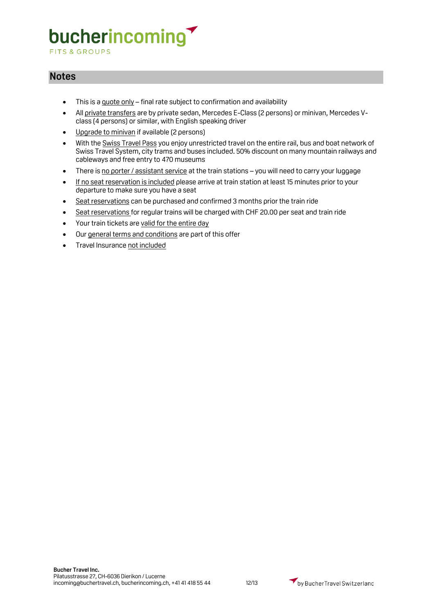**FITS & GROUPS** 

### **Notes**

- This is a quote only final rate subject to confirmation and availability
- All private transfers are by private sedan, Mercedes E-Class (2 persons) or minivan, Mercedes Vclass (4 persons) or similar, with English speaking driver
- Upgrade to minivan if available (2 persons)
- With the Swiss Travel Pass you enjoy unrestricted travel on the entire rail, bus and boat network of Swiss Travel System, city trams and buses included. 50% discount on many mountain railways and cableways and free entry to 470 museums
- There is no porter / assistant service at the train stations you will need to carry your luggage
- If no seat reservation is included please arrive at train station at least 15 minutes prior to your departure to make sure you have a seat
- Seat reservations can be purchased and confirmed 3 months prior the train ride
- Seat reservations for regular trains will be charged with CHF 20.00 per seat and train ride
- Your train tickets are valid for the entire day
- Our general terms and conditions are part of this offer
- Travel Insurance not included